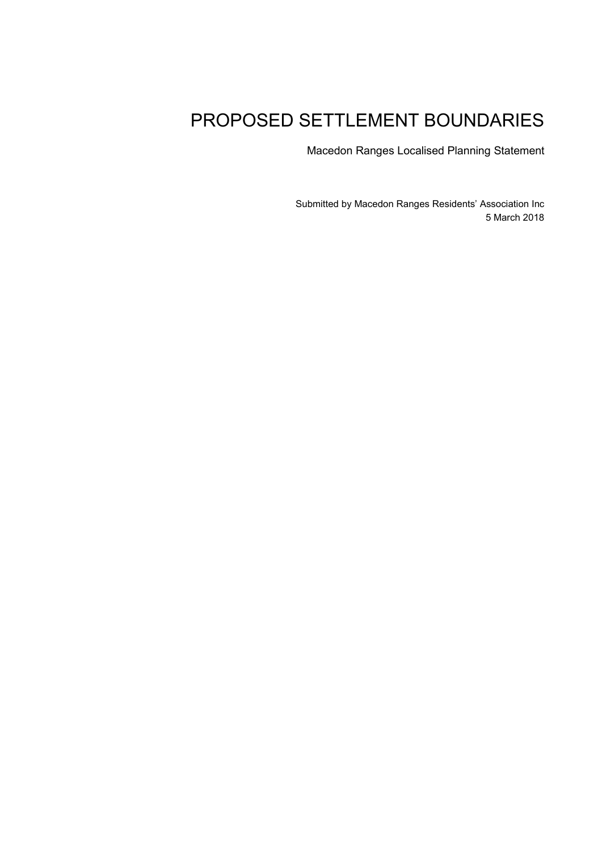# PROPOSED SETTLEMENT BOUNDARIES

Macedon Ranges Localised Planning Statement

Submitted by Macedon Ranges Residents' Association Inc 5 March 2018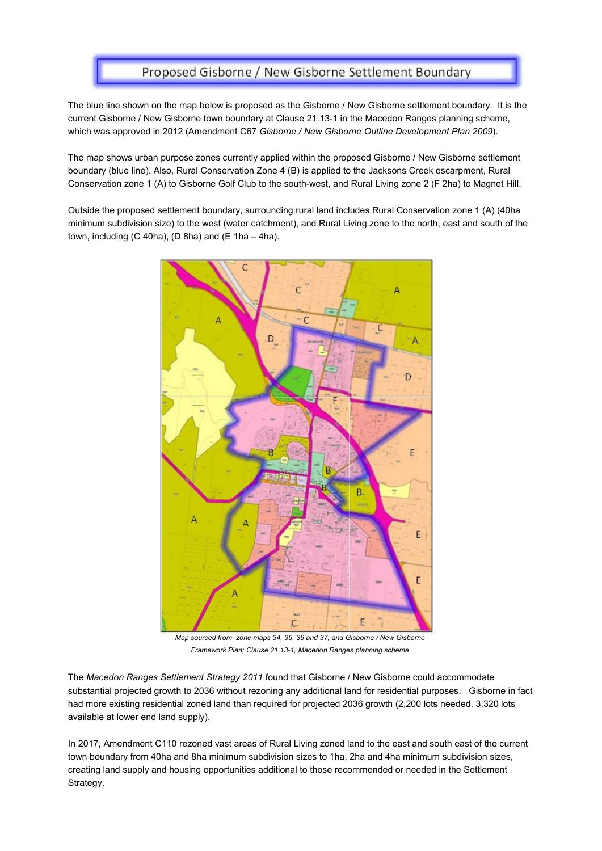### Proposed Gisborne / New Gisborne Settlement Boundary

The blue line shown on the map below is proposed as the Gisborne / New Gisborne settlement boundary. It is the current Gisborne / New Gisborne town boundary at Clause 21.13-1 in the Macedon Ranges planning scheme, which was approved in 2012 (Amendment C67 *Gisborne / New Gisborne Outline Development Plan 2009*).

The map shows urban purpose zones currently applied within the proposed Gisborne / New Gisborne settlement boundary (blue line). Also, Rural Conservation Zone 4 (B) is applied to the Jacksons Creek escarpment, Rural Conservation zone 1 (A) to Gisborne Golf Club to the south-west, and Rural Living zone 2 (F 2ha) to Magnet Hill.

Outside the proposed settlement boundary, surrounding rural land includes Rural Conservation zone 1 (A) (40ha minimum subdivision size) to the west (water catchment), and Rural Living zone to the north, east and south of the town, including  $(C 40ha)$ ,  $(D 8ha)$  and  $(E 1ha - 4ha)$ .



*Map sourced from zone maps 34, 35, 36 and 37, and Gisborne / New Gisborne Framework Plan; Clause 21.13-1, Macedon Ranges planning scheme* 

The *Macedon Ranges Settlement Strategy 2011* found that Gisborne / New Gisborne could accommodate substantial projected growth to 2036 without rezoning any additional land for residential purposes. Gisborne in fact had more existing residential zoned land than required for projected 2036 growth (2,200 lots needed, 3,320 lots available at lower end land supply).

In 2017, Amendment C110 rezoned vast areas of Rural Living zoned land to the east and south east of the current town boundary from 40ha and 8ha minimum subdivision sizes to 1ha, 2ha and 4ha minimum subdivision sizes, creating land supply and housing opportunities additional to those recommended or needed in the Settlement Strategy.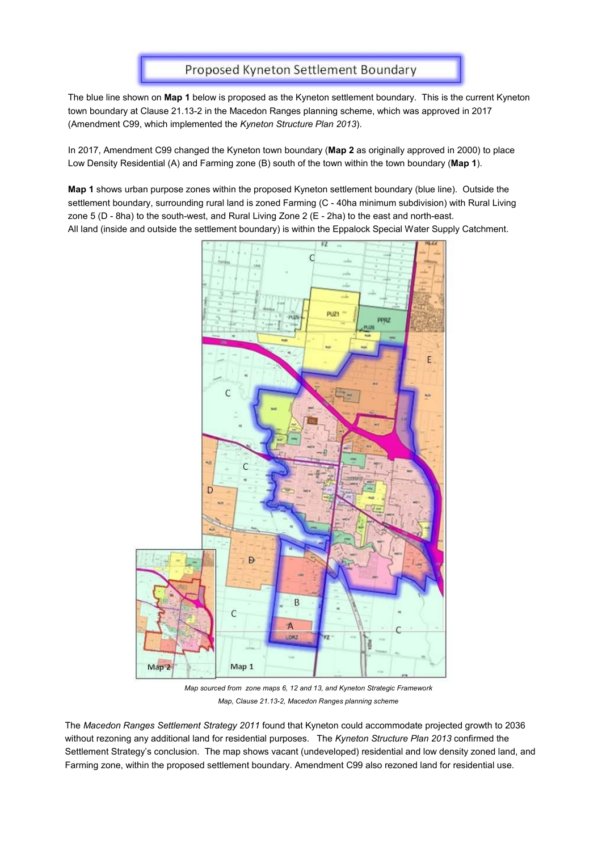### Proposed Kyneton Settlement Boundary

The blue line shown on **Map 1** below is proposed as the Kyneton settlement boundary. This is the current Kyneton town boundary at Clause 21.13-2 in the Macedon Ranges planning scheme, which was approved in 2017 (Amendment C99, which implemented the *Kyneton Structure Plan 2013*).

In 2017, Amendment C99 changed the Kyneton town boundary (**Map 2** as originally approved in 2000) to place Low Density Residential (A) and Farming zone (B) south of the town within the town boundary (**Map 1**).

**Map 1** shows urban purpose zones within the proposed Kyneton settlement boundary (blue line). Outside the settlement boundary, surrounding rural land is zoned Farming (C - 40ha minimum subdivision) with Rural Living zone 5 (D - 8ha) to the south-west, and Rural Living Zone 2 (E - 2ha) to the east and north-east. All land (inside and outside the settlement boundary) is within the Eppalock Special Water Supply Catchment.



*Map sourced from zone maps 6, 12 and 13, and Kyneton Strategic Framework Map, Clause 21.13-2, Macedon Ranges planning scheme* 

The *Macedon Ranges Settlement Strategy 2011* found that Kyneton could accommodate projected growth to 2036 without rezoning any additional land for residential purposes. The *Kyneton Structure Plan 2013* confirmed the Settlement Strategy's conclusion. The map shows vacant (undeveloped) residential and low density zoned land, and Farming zone, within the proposed settlement boundary. Amendment C99 also rezoned land for residential use.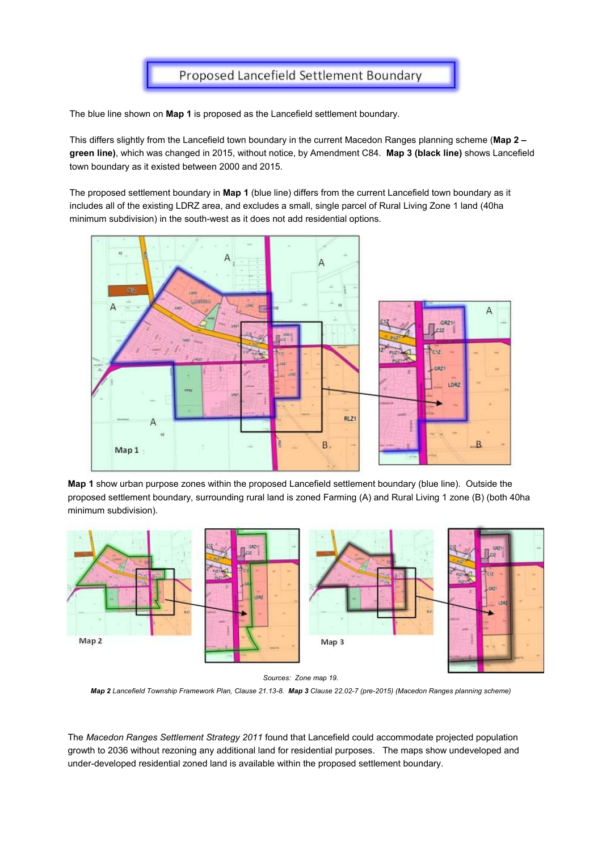

The blue line shown on **Map 1** is proposed as the Lancefield settlement boundary.

This differs slightly from the Lancefield town boundary in the current Macedon Ranges planning scheme (**Map 2 – green line)**, which was changed in 2015, without notice, by Amendment C84. **Map 3 (black line)** shows Lancefield town boundary as it existed between 2000 and 2015.

The proposed settlement boundary in **Map 1** (blue line) differs from the current Lancefield town boundary as it includes all of the existing LDRZ area, and excludes a small, single parcel of Rural Living Zone 1 land (40ha minimum subdivision) in the south-west as it does not add residential options.



**Map 1** show urban purpose zones within the proposed Lancefield settlement boundary (blue line). Outside the proposed settlement boundary, surrounding rural land is zoned Farming (A) and Rural Living 1 zone (B) (both 40ha minimum subdivision).





*Map 2 Lancefield Township Framework Plan, Clause 21.13-8. Map 3 Clause 22.02-7 (pre-2015) (Macedon Ranges planning scheme)* 

The *Macedon Ranges Settlement Strategy 2011* found that Lancefield could accommodate projected population growth to 2036 without rezoning any additional land for residential purposes. The maps show undeveloped and under-developed residential zoned land is available within the proposed settlement boundary.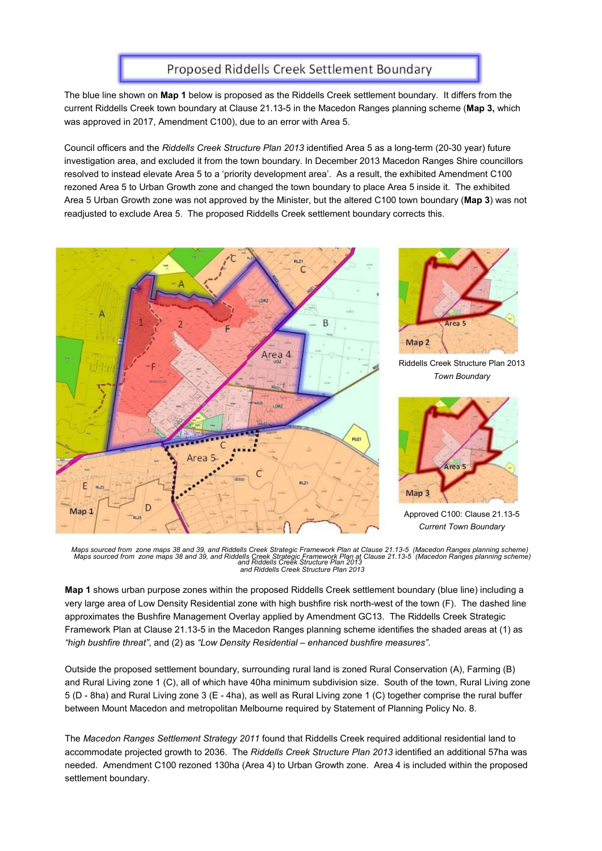### Proposed Riddells Creek Settlement Boundary

The blue line shown on **Map 1** below is proposed as the Riddells Creek settlement boundary. It differs from the current Riddells Creek town boundary at Clause 21.13-5 in the Macedon Ranges planning scheme (**Map 3,** which was approved in 2017, Amendment C100), due to an error with Area 5.

Council officers and the *Riddells Creek Structure Plan 2013* identified Area 5 as a long-term (20-30 year) future investigation area, and excluded it from the town boundary. In December 2013 Macedon Ranges Shire councillors resolved to instead elevate Area 5 to a 'priority development area'. As a result, the exhibited Amendment C100 rezoned Area 5 to Urban Growth zone and changed the town boundary to place Area 5 inside it. The exhibited Area 5 Urban Growth zone was not approved by the Minister, but the altered C100 town boundary (**Map 3**) was not readjusted to exclude Area 5. The proposed Riddells Creek settlement boundary corrects this.





Riddells Creek Structure Plan 2013 *Town Boundary* 



Approved C100: Clause 21.13-5 *Current Town Boundary* 

Maps sourced from zone maps 38 and 39, and Riddells Creek Strategic Framework Plan at Clause 21.13-5 (Macedon Ranges planning scheme)<br> Maps sourced from zone maps 38 and 39, and Riddells Creek Strategic Framework Plan a *and Riddells Creek Structure Plan 2013 and Riddells Creek Structure Plan 2013* 

**Map 1** shows urban purpose zones within the proposed Riddells Creek settlement boundary (blue line) including a very large area of Low Density Residential zone with high bushfire risk north-west of the town (F). The dashed line approximates the Bushfire Management Overlay applied by Amendment GC13. The Riddells Creek Strategic Framework Plan at Clause 21.13-5 in the Macedon Ranges planning scheme identifies the shaded areas at (1) as *"high bushfire threat"*, and (2) as *"Low Density Residential – enhanced bushfire measures"*.

Outside the proposed settlement boundary, surrounding rural land is zoned Rural Conservation (A), Farming (B) and Rural Living zone 1 (C), all of which have 40ha minimum subdivision size. South of the town, Rural Living zone 5 (D - 8ha) and Rural Living zone 3 (E - 4ha), as well as Rural Living zone 1 (C) together comprise the rural buffer between Mount Macedon and metropolitan Melbourne required by Statement of Planning Policy No. 8.

The *Macedon Ranges Settlement Strategy 2011* found that Riddells Creek required additional residential land to accommodate projected growth to 2036. The *Riddells Creek Structure Plan 2013* identified an additional 57ha was needed. Amendment C100 rezoned 130ha (Area 4) to Urban Growth zone. Area 4 is included within the proposed settlement boundary.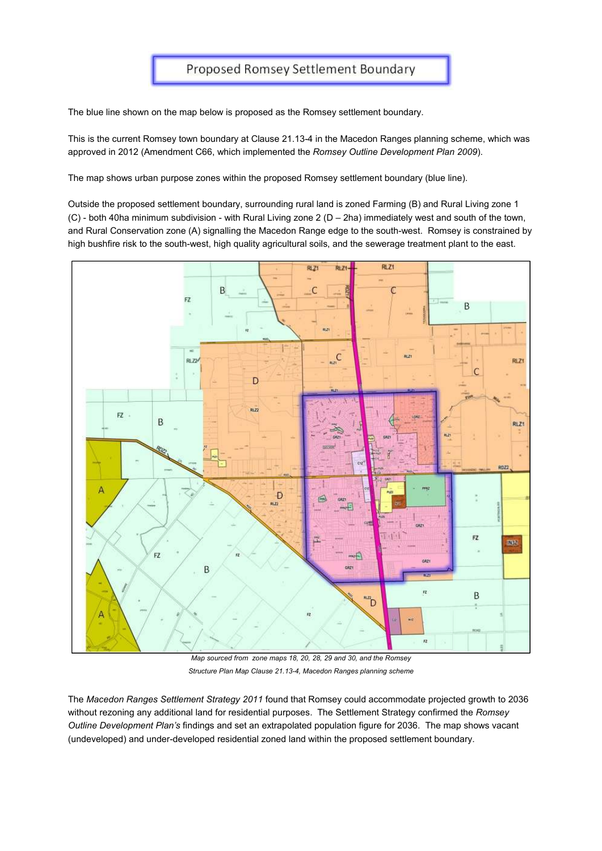The blue line shown on the map below is proposed as the Romsey settlement boundary.

This is the current Romsey town boundary at Clause 21.13-4 in the Macedon Ranges planning scheme, which was approved in 2012 (Amendment C66, which implemented the *Romsey Outline Development Plan 2009*).

The map shows urban purpose zones within the proposed Romsey settlement boundary (blue line).

Outside the proposed settlement boundary, surrounding rural land is zoned Farming (B) and Rural Living zone 1 (C) - both 40ha minimum subdivision - with Rural Living zone 2 (D – 2ha) immediately west and south of the town, and Rural Conservation zone (A) signalling the Macedon Range edge to the south-west. Romsey is constrained by high bushfire risk to the south-west, high quality agricultural soils, and the sewerage treatment plant to the east.



*Map sourced from zone maps 18, 20, 28, 29 and 30, and the Romsey Structure Plan Map Clause 21.13-4, Macedon Ranges planning scheme* 

The *Macedon Ranges Settlement Strategy 2011* found that Romsey could accommodate projected growth to 2036 without rezoning any additional land for residential purposes. The Settlement Strategy confirmed the *Romsey Outline Development Plan's* findings and set an extrapolated population figure for 2036. The map shows vacant (undeveloped) and under-developed residential zoned land within the proposed settlement boundary.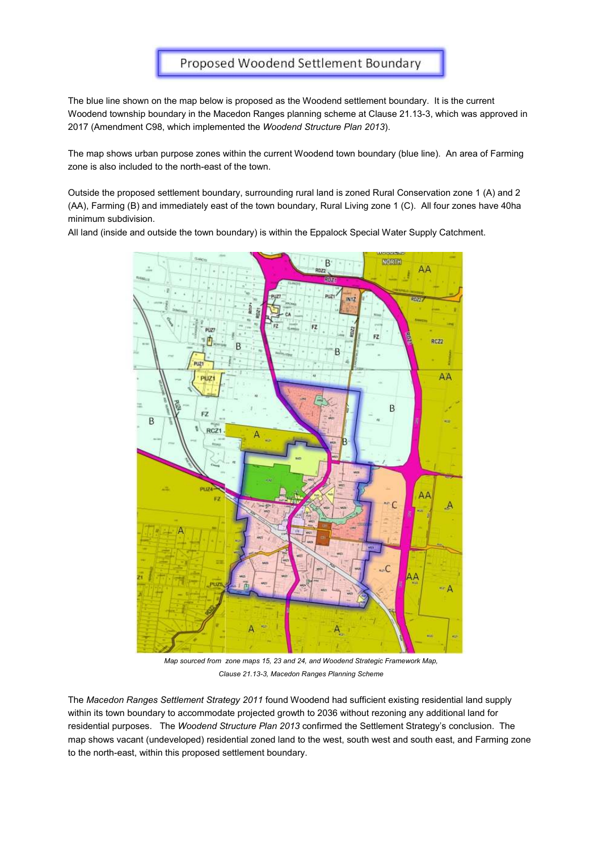### Proposed Woodend Settlement Boundary

The blue line shown on the map below is proposed as the Woodend settlement boundary. It is the current Woodend township boundary in the Macedon Ranges planning scheme at Clause 21.13-3, which was approved in 2017 (Amendment C98, which implemented the *Woodend Structure Plan 2013*).

The map shows urban purpose zones within the current Woodend town boundary (blue line). An area of Farming zone is also included to the north-east of the town.

Outside the proposed settlement boundary, surrounding rural land is zoned Rural Conservation zone 1 (A) and 2 (AA), Farming (B) and immediately east of the town boundary, Rural Living zone 1 (C). All four zones have 40ha minimum subdivision.

All land (inside and outside the town boundary) is within the Eppalock Special Water Supply Catchment.



*Map sourced from zone maps 15, 23 and 24, and Woodend Strategic Framework Map, Clause 21.13-3, Macedon Ranges Planning Scheme*

The *Macedon Ranges Settlement Strategy 2011* found Woodend had sufficient existing residential land supply within its town boundary to accommodate projected growth to 2036 without rezoning any additional land for residential purposes. The *Woodend Structure Plan 2013* confirmed the Settlement Strategy's conclusion. The map shows vacant (undeveloped) residential zoned land to the west, south west and south east, and Farming zone to the north-east, within this proposed settlement boundary.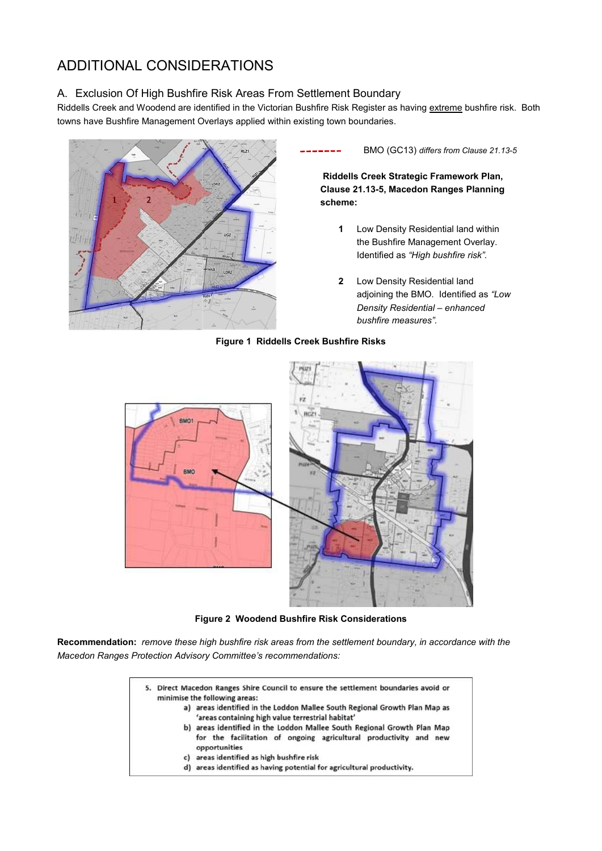## ADDITIONAL CONSIDERATIONS

### A. Exclusion Of High Bushfire Risk Areas From Settlement Boundary

Riddells Creek and Woodend are identified in the Victorian Bushfire Risk Register as having extreme bushfire risk. Both towns have Bushfire Management Overlays applied within existing town boundaries.



 BMO (GC13) *differs from Clause 21.13-5* -----

**Riddells Creek Strategic Framework Plan, Clause 21.13-5, Macedon Ranges Planning scheme:** 

- **1** Low Density Residential land within the Bushfire Management Overlay. Identified as *"High bushfire risk".*
- **2** Low Density Residential land adjoining the BMO. Identified as *"Low Density Residential – enhanced bushfire measures".*

### **Figure 1 Riddells Creek Bushfire Risks**



**Figure 2 Woodend Bushfire Risk Considerations**

**Recommendation:** *remove these high bushfire risk areas from the settlement boundary, in accordance with the Macedon Ranges Protection Advisory Committee's recommendations:* 

| 5. | Direct Macedon Ranges Shire Council to ensure the settlement boundaries avoid or<br>minimise the following areas: |                                                                                                                                                               |
|----|-------------------------------------------------------------------------------------------------------------------|---------------------------------------------------------------------------------------------------------------------------------------------------------------|
|    |                                                                                                                   | a) areas identified in the Loddon Mallee South Regional Growth Plan Map as<br>'areas containing high value terrestrial habitat'                               |
|    |                                                                                                                   | b) areas identified in the Loddon Mallee South Regional Growth Plan Map<br>for the facilitation of ongoing agricultural productivity and new<br>opportunities |
|    |                                                                                                                   | c) areas identified as high bushfire risk                                                                                                                     |
|    |                                                                                                                   | d) areas identified as having potential for agricultural productivity.                                                                                        |